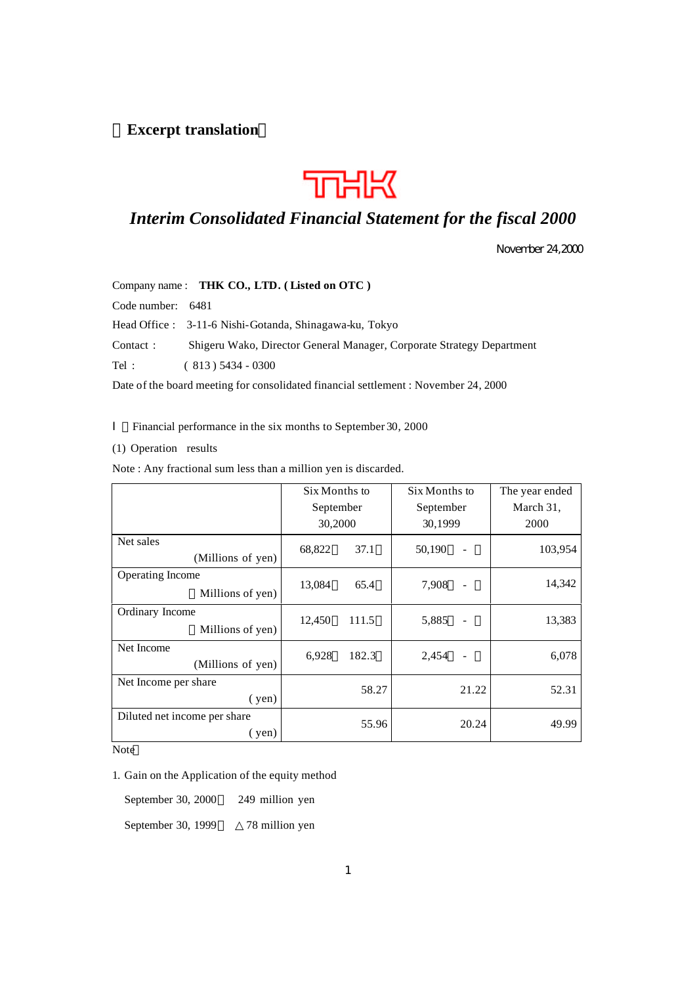# **Excerpt translation**



# *Interim Consolidated Financial Statement for the fiscal 2000*

November 24,2000

|                   | Company name: THK CO., LTD. (Listed on OTC)                           |
|-------------------|-----------------------------------------------------------------------|
| Code number: 6481 |                                                                       |
|                   | Head Office : 3-11-6 Nishi-Gotanda, Shinagawa-ku, Tokyo               |
| Contact:          | Shigeru Wako, Director General Manager, Corporate Strategy Department |
| Tel:              | $(813)$ 5434 - 0300                                                   |
|                   | <b>D.C. 1 1 1 C. 11. 10 1 1 1 1 1 1 1 1 01 000</b>                    |

Date of the board meeting for consolidated financial settlement : November 24, 2000

Financial performance in the six months to September 30, 2000

(1) Operation results

Note : Any fractional sum less than a million yen is discarded.

|                                                | Six Months to |       | Six Months to |       | The year ended |
|------------------------------------------------|---------------|-------|---------------|-------|----------------|
|                                                | September     |       | September     |       | March 31,      |
|                                                | 30,2000       |       | 30,1999       |       | 2000           |
| Net sales<br>(Millions of yen)                 | 68,822        | 37.1  | 50,190        |       | 103,954        |
| Operating Income<br>Millions of yen)           | 13,084        | 65.4  | 7,908         |       | 14,342         |
| Ordinary Income<br>Millions of yen)            | 12,450        | 111.5 | 5,885         |       | 13,383         |
| Net Income<br>(Millions of yen)                | 6,928         | 182.3 | 2,454         |       | 6,078          |
| Net Income per share<br>(yen)                  |               | 58.27 |               | 21.22 | 52.31          |
| Diluted net income per share<br>$(\text{yen})$ |               | 55.96 |               | 20.24 | 49.99          |

Note

1. Gain on the Application of the equity method

September 30, 2000 249 million yen

September 30, 1999 78 million yen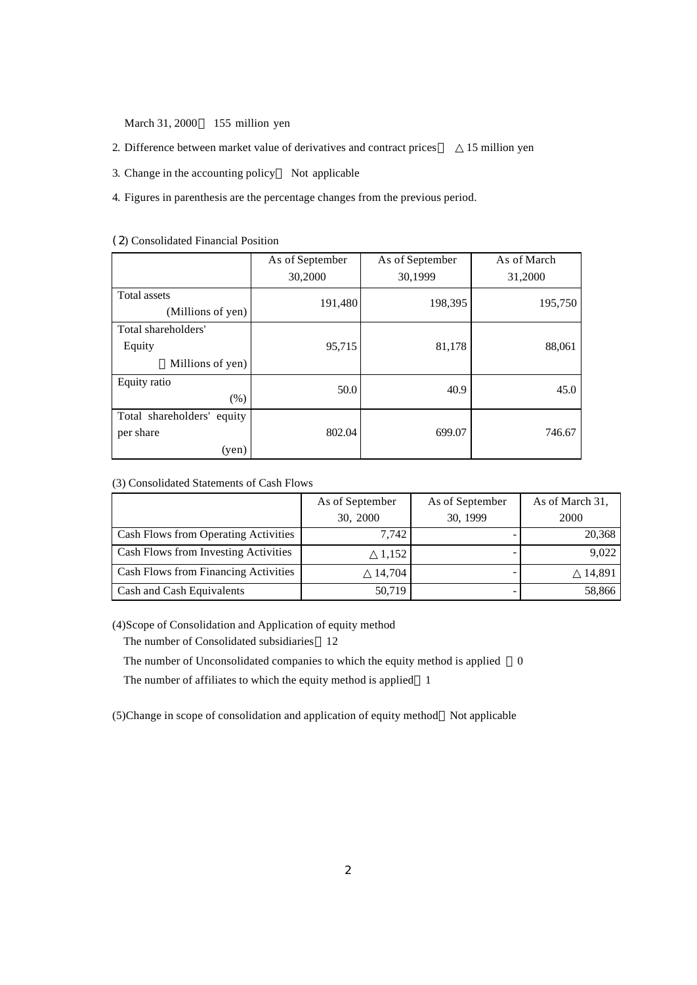March 31, 2000 155 million yen

- 2. Difference between market value of derivatives and contract prices 15 million yen
- 3. Change in the accounting policy Not applicable
- 4. Figures in parenthesis are the percentage changes from the previous period.

|                                   | As of September | As of September | As of March |
|-----------------------------------|-----------------|-----------------|-------------|
|                                   | 30,2000         | 30,1999         | 31,2000     |
| Total assets<br>(Millions of yen) | 191,480         | 198,395         | 195,750     |
|                                   |                 |                 |             |
| Total shareholders'               |                 |                 |             |
| Equity                            | 95,715          | 81,178          | 88,061      |
| Millions of yen)                  |                 |                 |             |
| Equity ratio<br>(% )              | 50.0            | 40.9            | 45.0        |
| Total shareholders' equity        |                 |                 |             |
| per share                         | 802.04          | 699.07          | 746.67      |
| (ven)                             |                 |                 |             |

## (2) Consolidated Financial Position

#### (3) Consolidated Statements of Cash Flows

|                                      | As of September<br>30, 2000 | As of September<br>30, 1999 | As of March 31,<br>2000 |
|--------------------------------------|-----------------------------|-----------------------------|-------------------------|
| Cash Flows from Operating Activities | 7,742                       |                             | 20,368                  |
| Cash Flows from Investing Activities | 1,152                       |                             | 9,022                   |
| Cash Flows from Financing Activities | 14.704                      |                             | 14,891                  |
| Cash and Cash Equivalents            | 50,719                      |                             | 58,866                  |

(4)Scope of Consolidation and Application of equity method

The number of Consolidated subsidiaries 12

The number of Unconsolidated companies to which the equity method is applied 0

The number of affiliates to which the equity method is applied 1

(5)Change in scope of consolidation and application of equity method Not applicable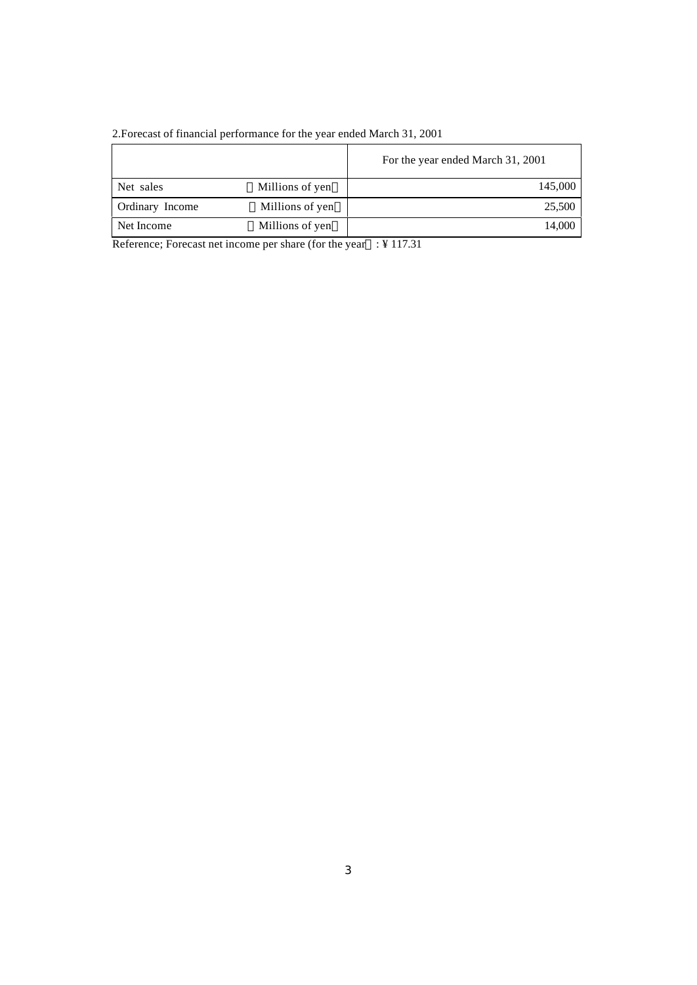|                 |                 | For the year ended March 31, 2001 |
|-----------------|-----------------|-----------------------------------|
| Net sales       | Millions of yen | 145,000                           |
| Ordinary Income | Millions of yen | 25,500                            |
| Net Income      | Millions of yen | 14.000                            |

2.Forecast of financial performance for the year ended March 31, 2001

Reference; Forecast net income per share (for the year : ¥ 117.31)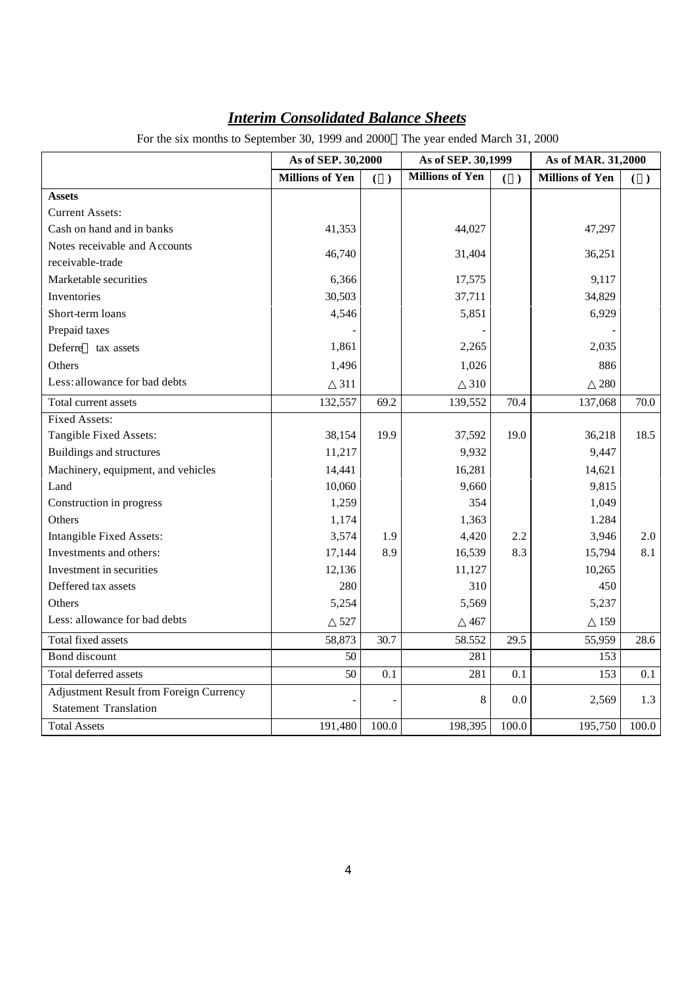|                                         | As of SEP. 30,2000     |       | As of SEP. 30,1999     |       | As of MAR. 31,2000     |       |
|-----------------------------------------|------------------------|-------|------------------------|-------|------------------------|-------|
|                                         | <b>Millions of Yen</b> | ( )   | <b>Millions of Yen</b> | ( )   | <b>Millions of Yen</b> | ( )   |
| <b>Assets</b>                           |                        |       |                        |       |                        |       |
| <b>Current Assets:</b>                  |                        |       |                        |       |                        |       |
| Cash on hand and in banks               | 41,353                 |       | 44,027                 |       | 47,297                 |       |
| Notes receivable and Accounts           | 46,740                 |       | 31,404                 |       | 36,251                 |       |
| receivable-trade                        |                        |       |                        |       |                        |       |
| Marketable securities                   | 6,366                  |       | 17,575                 |       | 9,117                  |       |
| Inventories                             | 30,503                 |       | 37,711                 |       | 34,829                 |       |
| Short-term loans                        | 4,546                  |       | 5,851                  |       | 6,929                  |       |
| Prepaid taxes                           |                        |       |                        |       |                        |       |
| Deferre<br>tax assets                   | 1,861                  |       | 2,265                  |       | 2,035                  |       |
| Others                                  | 1,496                  |       | 1,026                  |       | 886                    |       |
| Less: allowance for bad debts           | 311                    |       | 310                    |       | 280                    |       |
| Total current assets                    | 132,557                | 69.2  | 139,552                | 70.4  | 137,068                | 70.0  |
| <b>Fixed Assets:</b>                    |                        |       |                        |       |                        |       |
| Tangible Fixed Assets:                  | 38,154                 | 19.9  | 37,592                 | 19.0  | 36,218                 | 18.5  |
| Buildings and structures                | 11,217                 |       | 9,932                  |       | 9,447                  |       |
| Machinery, equipment, and vehicles      | 14,441                 |       | 16,281                 |       | 14,621                 |       |
| Land                                    | 10,060                 |       | 9,660                  |       | 9,815                  |       |
| Construction in progress                | 1,259                  |       | 354                    |       | 1,049                  |       |
| Others                                  | 1,174                  |       | 1,363                  |       | 1.284                  |       |
| Intangible Fixed Assets:                | 3,574                  | 1.9   | 4,420                  | 2.2   | 3,946                  | 2.0   |
| Investments and others:                 | 17,144                 | 8.9   | 16,539                 | 8.3   | 15,794                 | 8.1   |
| Investment in securities                | 12,136                 |       | 11,127                 |       | 10,265                 |       |
| Deffered tax assets                     | 280                    |       | 310                    |       | 450                    |       |
| Others                                  | 5,254                  |       | 5,569                  |       | 5,237                  |       |
| Less: allowance for bad debts           | 527                    |       | 467                    |       | 159                    |       |
| Total fixed assets                      | 58,873                 | 30.7  | 58.552                 | 29.5  | 55,959                 | 28.6  |
| Bond discount                           | 50                     |       | 281                    |       | 153                    |       |
| Total deferred assets                   | 50                     | 0.1   | 281                    | 0.1   | 153                    | 0.1   |
| Adjustment Result from Foreign Currency |                        |       | 8                      | 0.0   | 2,569                  | 1.3   |
| <b>Statement Translation</b>            |                        |       |                        |       |                        |       |
| <b>Total Assets</b>                     | 191,480                | 100.0 | 198,395                | 100.0 | 195,750                | 100.0 |

# *Interim Consolidated Balance Sheets*

For the six months to September 30, 1999 and 2000 The year ended March 31, 2000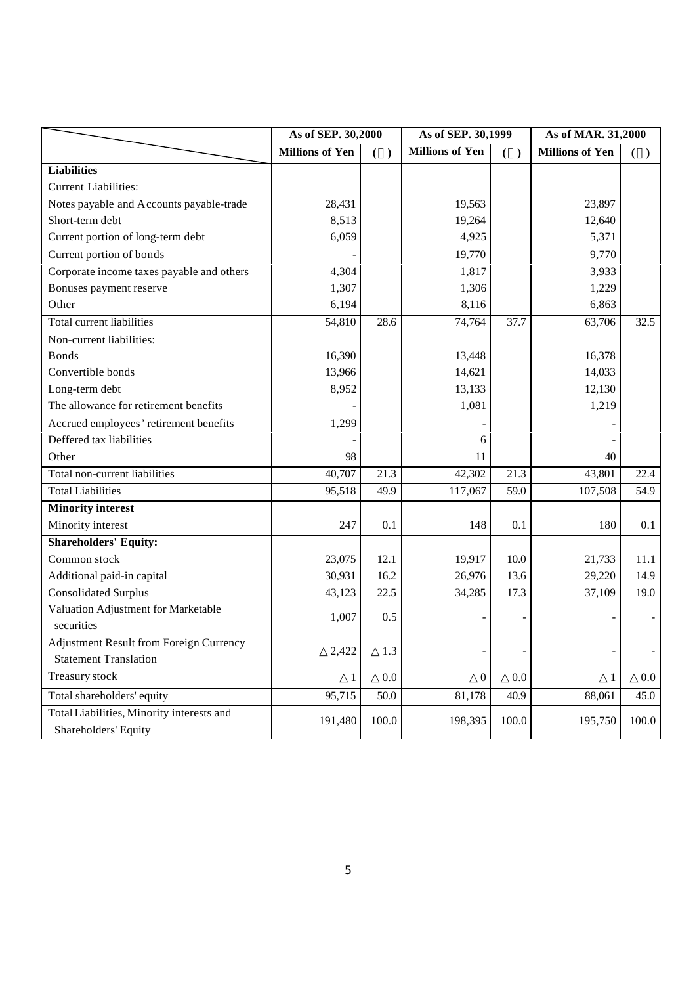|                                                | As of SEP. 30,2000     |       | As of SEP. 30,1999     |       | As of MAR. 31,2000     |         |
|------------------------------------------------|------------------------|-------|------------------------|-------|------------------------|---------|
|                                                | <b>Millions of Yen</b> | ( )   | <b>Millions of Yen</b> | $($ ) | <b>Millions of Yen</b> | ( )     |
| <b>Liabilities</b>                             |                        |       |                        |       |                        |         |
| <b>Current Liabilities:</b>                    |                        |       |                        |       |                        |         |
| Notes payable and Accounts payable-trade       | 28,431                 |       | 19,563                 |       | 23,897                 |         |
| Short-term debt                                | 8,513                  |       | 19,264                 |       | 12,640                 |         |
| Current portion of long-term debt              | 6,059                  |       | 4,925                  |       | 5,371                  |         |
| Current portion of bonds                       |                        |       | 19,770                 |       | 9,770                  |         |
| Corporate income taxes payable and others      | 4,304                  |       | 1,817                  |       | 3,933                  |         |
| Bonuses payment reserve                        | 1,307                  |       | 1,306                  |       | 1,229                  |         |
| Other                                          | 6,194                  |       | 8,116                  |       | 6,863                  |         |
| Total current liabilities                      | 54,810                 | 28.6  | 74,764                 | 37.7  | 63,706                 | 32.5    |
| Non-current liabilities:                       |                        |       |                        |       |                        |         |
| <b>Bonds</b>                                   | 16,390                 |       | 13,448                 |       | 16,378                 |         |
| Convertible bonds                              | 13,966                 |       | 14,621                 |       | 14,033                 |         |
| Long-term debt                                 | 8,952                  |       | 13,133                 |       | 12,130                 |         |
| The allowance for retirement benefits          |                        |       | 1,081                  |       | 1,219                  |         |
| Accrued employees' retirement benefits         | 1,299                  |       |                        |       |                        |         |
| Deffered tax liabilities                       |                        |       | 6                      |       |                        |         |
| Other                                          | 98                     |       | 11                     |       | 40                     |         |
| Total non-current liabilities                  | 40,707                 | 21.3  | 42,302                 | 21.3  | 43,801                 | 22.4    |
| <b>Total Liabilities</b>                       | 95,518                 | 49.9  | 117,067                | 59.0  | 107,508                | 54.9    |
| <b>Minority interest</b>                       |                        |       |                        |       |                        |         |
| Minority interest                              | 247                    | 0.1   | 148                    | 0.1   | 180                    | 0.1     |
| <b>Shareholders' Equity:</b>                   |                        |       |                        |       |                        |         |
| Common stock                                   | 23,075                 | 12.1  | 19,917                 | 10.0  | 21,733                 | 11.1    |
| Additional paid-in capital                     | 30,931                 | 16.2  | 26,976                 | 13.6  | 29,220                 | 14.9    |
| <b>Consolidated Surplus</b>                    | 43,123                 | 22.5  | 34,285                 | 17.3  | 37,109                 | 19.0    |
| Valuation Adjustment for Marketable            | 1,007                  | 0.5   |                        |       |                        |         |
| securities                                     |                        |       |                        |       |                        |         |
| <b>Adjustment Result from Foreign Currency</b> | 2,422                  | 1.3   |                        |       |                        |         |
| <b>Statement Translation</b>                   |                        |       |                        |       |                        |         |
| Treasury stock                                 | 1                      | 0.0   | $\overline{0}$         | 0.0   | 1                      | $0.0\,$ |
| Total shareholders' equity                     | 95,715                 | 50.0  | 81,178                 | 40.9  | 88,061                 | 45.0    |
| Total Liabilities, Minority interests and      | 191,480                | 100.0 | 198,395                | 100.0 | 195,750                | 100.0   |
| Shareholders' Equity                           |                        |       |                        |       |                        |         |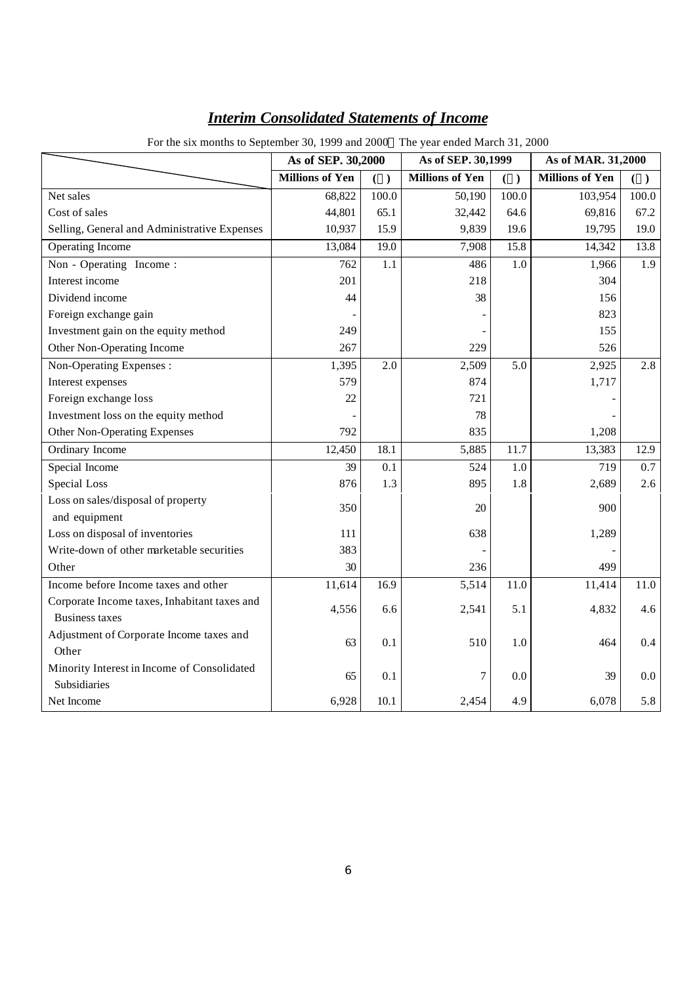| For the six months to September 30, 1999 and 2000 The year ended March 31, 2000 |                        |       |                        |       |                        |       |
|---------------------------------------------------------------------------------|------------------------|-------|------------------------|-------|------------------------|-------|
|                                                                                 | As of SEP. 30,2000     |       | As of SEP. 30,1999     |       | As of MAR. 31,2000     |       |
|                                                                                 | <b>Millions of Yen</b> | ( )   | <b>Millions of Yen</b> | ( )   | <b>Millions of Yen</b> | ( )   |
| Net sales                                                                       | 68,822                 | 100.0 | 50,190                 | 100.0 | 103,954                | 100.0 |
| Cost of sales                                                                   | 44,801                 | 65.1  | 32,442                 | 64.6  | 69,816                 | 67.2  |
| Selling, General and Administrative Expenses                                    | 10,937                 | 15.9  | 9,839                  | 19.6  | 19,795                 | 19.0  |
| <b>Operating Income</b>                                                         | 13,084                 | 19.0  | 7,908                  | 15.8  | 14,342                 | 13.8  |
| Non - Operating Income:                                                         | 762                    | 1.1   | 486                    | 1.0   | 1,966                  | 1.9   |
| Interest income                                                                 | 201                    |       | 218                    |       | 304                    |       |
| Dividend income                                                                 | 44                     |       | 38                     |       | 156                    |       |
| Foreign exchange gain                                                           |                        |       |                        |       | 823                    |       |
| Investment gain on the equity method                                            | 249                    |       |                        |       | 155                    |       |
| Other Non-Operating Income                                                      | 267                    |       | 229                    |       | 526                    |       |
| Non-Operating Expenses :                                                        | 1,395                  | 2.0   | 2,509                  | 5.0   | 2,925                  | 2.8   |
| Interest expenses                                                               | 579                    |       | 874                    |       | 1,717                  |       |
| Foreign exchange loss                                                           | 22                     |       | 721                    |       |                        |       |
| Investment loss on the equity method                                            |                        |       | 78                     |       |                        |       |
| Other Non-Operating Expenses                                                    | 792                    |       | 835                    |       | 1,208                  |       |
| Ordinary Income                                                                 | 12,450                 | 18.1  | 5,885                  | 11.7  | 13,383                 | 12.9  |
| Special Income                                                                  | 39                     | 0.1   | 524                    | 1.0   | 719                    | 0.7   |
| Special Loss                                                                    | 876                    | 1.3   | 895                    | 1.8   | 2,689                  | 2.6   |
| Loss on sales/disposal of property                                              | 350                    |       | 20                     |       | 900                    |       |
| and equipment                                                                   |                        |       |                        |       |                        |       |
| Loss on disposal of inventories                                                 | 111                    |       | 638                    |       | 1,289                  |       |
| Write-down of other marketable securities                                       | 383                    |       |                        |       |                        |       |
| Other                                                                           | 30                     |       | 236                    |       | 499                    |       |
| Income before Income taxes and other                                            | 11,614                 | 16.9  | 5,514                  | 11.0  | 11,414                 | 11.0  |
| Corporate Income taxes, Inhabitant taxes and                                    | 4,556                  | 6.6   | 2,541                  | 5.1   | 4,832                  | 4.6   |
| <b>Business taxes</b>                                                           |                        |       |                        |       |                        |       |
| Adjustment of Corporate Income taxes and                                        | 63                     | 0.1   | 510                    | 1.0   | 464                    | 0.4   |
| Other                                                                           |                        |       |                        |       |                        |       |
| Minority Interest in Income of Consolidated                                     | 65                     | 0.1   | 7                      | 0.0   | 39                     | 0.0   |
| Subsidiaries                                                                    |                        |       |                        |       |                        |       |
| Net Income                                                                      | 6,928                  | 10.1  | 2,454                  | 4.9   | 6,078                  | 5.8   |

# *Interim Consolidated Statements of Income*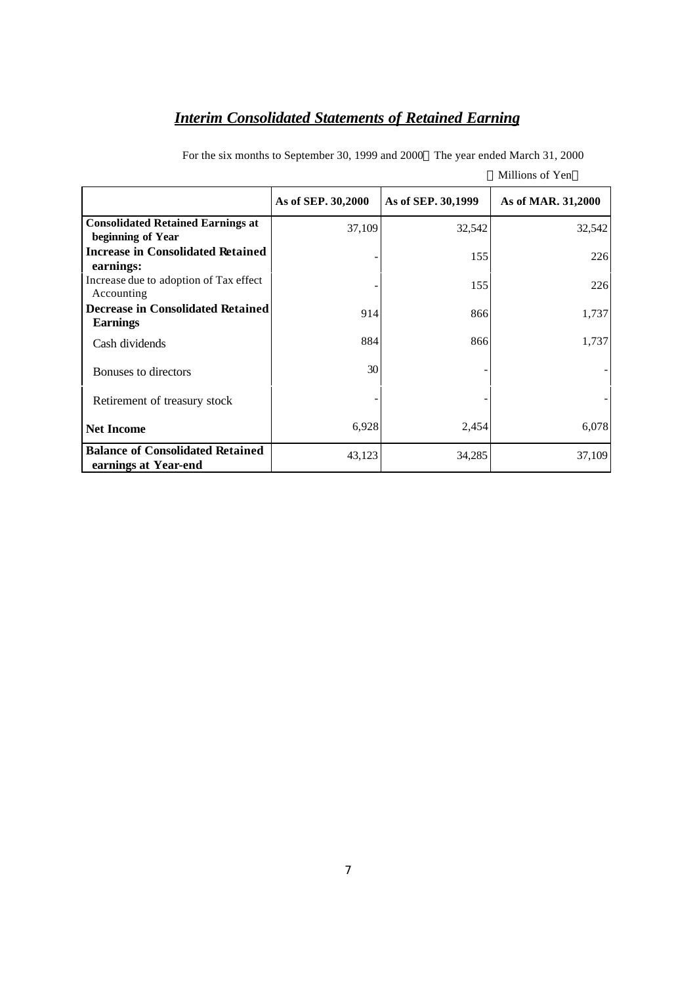# *Interim Consolidated Statements of Retained Earning*

|                                                                 | As of SEP. 30,2000 | As of SEP. 30,1999 | As of MAR. 31,2000 |
|-----------------------------------------------------------------|--------------------|--------------------|--------------------|
| <b>Consolidated Retained Earnings at</b><br>beginning of Year   | 37,109             | 32,542             | 32,542             |
| <b>Increase in Consolidated Retained</b><br>earnings:           |                    | 155                | 226                |
| Increase due to adoption of Tax effect<br>Accounting            |                    | 155                | 226                |
| <b>Decrease in Consolidated Retained</b><br><b>Earnings</b>     | 914                | 866                | 1,737              |
| Cash dividends                                                  | 884                | 866                | 1,737              |
| Bonuses to directors                                            | 30                 |                    |                    |
| Retirement of treasury stock                                    |                    |                    |                    |
| <b>Net Income</b>                                               | 6,928              | 2,454              | 6,078              |
| <b>Balance of Consolidated Retained</b><br>earnings at Year-end | 43,123             | 34,285             | 37,109             |

For the six months to September 30, 1999 and 2000 The year ended March 31, 2000 Millions of Yen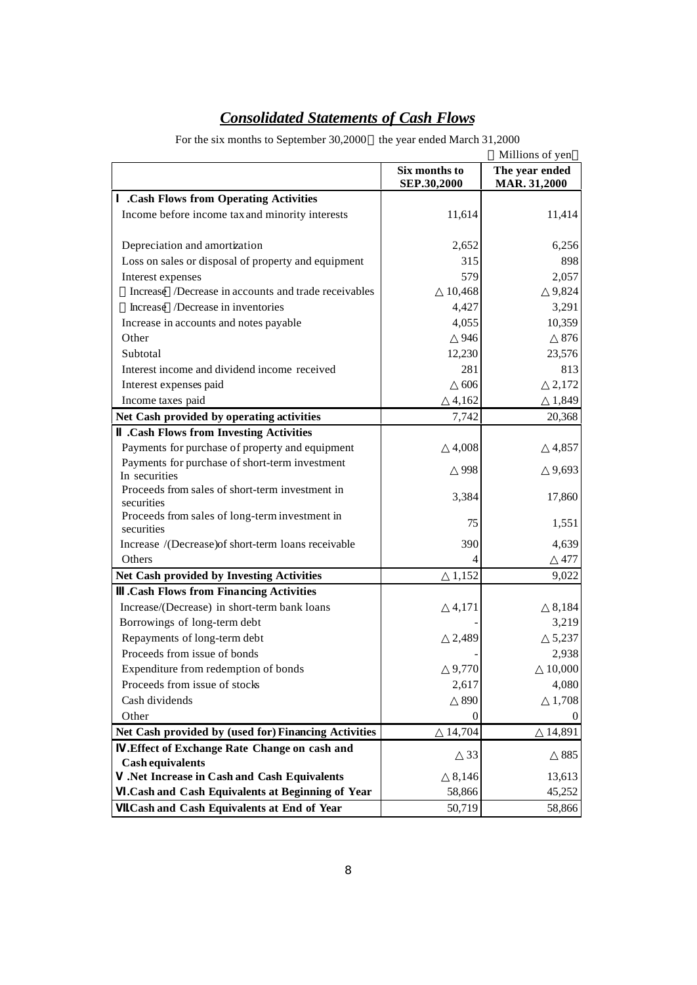# *Consolidated Statements of Cash Flows*

For the six months to September 30,2000 the year ended March 31,2000

|                                                              |                              | Millions of yen                       |
|--------------------------------------------------------------|------------------------------|---------------------------------------|
|                                                              | Six months to<br>SEP.30,2000 | The year ended<br><b>MAR. 31,2000</b> |
| .Cash Flows from Operating Activities                        |                              |                                       |
| Income before income tax and minority interests              | 11,614                       | 11,414                                |
| Depreciation and amortization                                | 2,652                        | 6,256                                 |
| Loss on sales or disposal of property and equipment          | 315                          | 898                                   |
| Interest expenses                                            | 579                          | 2,057                                 |
| Increase /Decrease in accounts and trade receivables         | 10,468                       | 9,824                                 |
| Increase /Decrease in inventories                            | 4,427                        | 3,291                                 |
| Increase in accounts and notes payable                       | 4,055                        | 10,359                                |
| Other                                                        | 946                          | 876                                   |
| Subtotal                                                     | 12,230                       | 23,576                                |
| Interest income and dividend income received                 | 281                          | 813                                   |
| Interest expenses paid                                       | 606                          | 2,172                                 |
| Income taxes paid                                            | 4,162                        | 1,849                                 |
| Net Cash provided by operating activities                    | 7,742                        | 20,368                                |
| .Cash Flows from Investing Activities                        |                              |                                       |
| Payments for purchase of property and equipment              | 4,008                        | 4,857                                 |
| Payments for purchase of short-term investment               |                              |                                       |
| In securities                                                | 998                          | 9,693                                 |
| Proceeds from sales of short-term investment in              | 3,384                        | 17,860                                |
| securities                                                   |                              |                                       |
| Proceeds from sales of long-term investment in<br>securities | 75                           | 1,551                                 |
| Increase /(Decrease)of short-term loans receivable           | 390                          | 4,639                                 |
| Others                                                       | 4                            | 477                                   |
| Net Cash provided by Investing Activities                    | 1,152                        | 9,022                                 |
| .Cash Flows from Financing Activities                        |                              |                                       |
| Increase/(Decrease) in short-term bank loans                 | 4,171                        | 8,184                                 |
| Borrowings of long-term debt                                 |                              | 3,219                                 |
| Repayments of long-term debt                                 | 2,489                        | 5,237                                 |
| Proceeds from issue of bonds                                 |                              | 2,938                                 |
| Expenditure from redemption of bonds                         | 9,770                        | 10,000                                |
| Proceeds from issue of stocks                                | 2,617                        | 4,080                                 |
| Cash dividends                                               | 890                          | 1,708                                 |
| Other                                                        | $\mathbf{0}$                 | $\boldsymbol{0}$                      |
| Net Cash provided by (used for) Financing Activities         | 14,704                       | 14,891                                |
| .Effect of Exchange Rate Change on cash and                  | 33                           | 885                                   |
| <b>Cash equivalents</b>                                      |                              |                                       |
| .Net Increase in Cash and Cash Equivalents                   | 8,146                        | 13,613                                |
| .Cash and Cash Equivalents at Beginning of Year              | 58,866                       | 45,252                                |
| .Cash and Cash Equivalents at End of Year                    | 50,719                       | 58,866                                |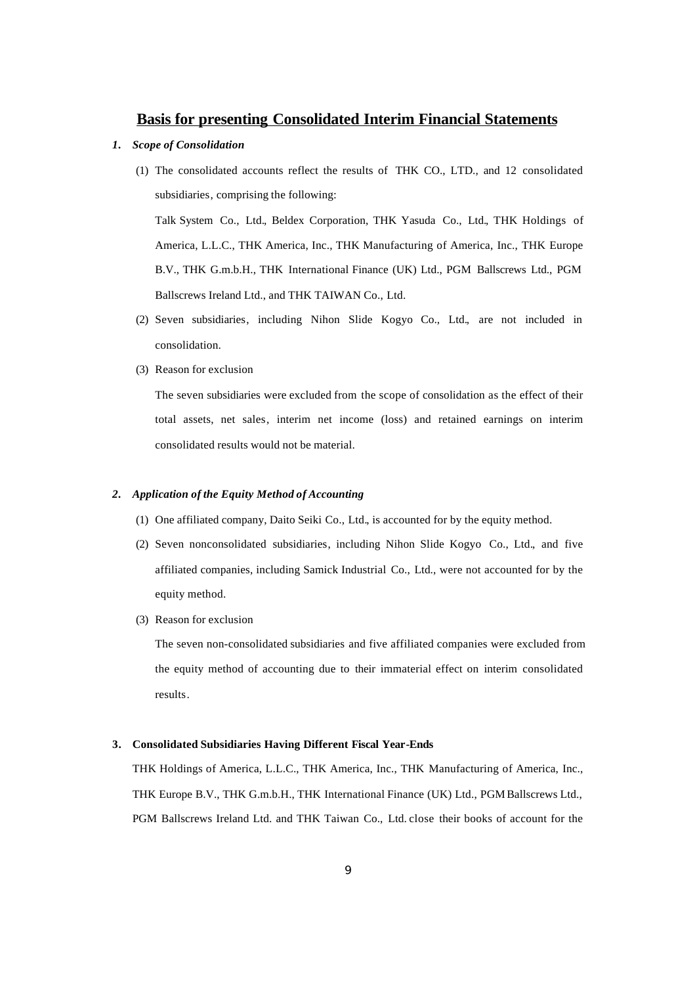## **Basis for presenting Consolidated Interim Financial Statements**

- *1. Scope of Consolidation*
	- (1) The consolidated accounts reflect the results of THK CO., LTD., and 12 consolidated subsidiaries, comprising the following:

Talk System Co., Ltd., Beldex Corporation, THK Yasuda Co., Ltd., THK Holdings of America, L.L.C., THK America, Inc., THK Manufacturing of America, Inc., THK Europe B.V., THK G.m.b.H., THK International Finance (UK) Ltd., PGM Ballscrews Ltd., PGM Ballscrews Ireland Ltd., and THK TAIWAN Co., Ltd.

- (2) Seven subsidiaries, including Nihon Slide Kogyo Co., Ltd., are not included in consolidation.
- (3) Reason for exclusion

The seven subsidiaries were excluded from the scope of consolidation as the effect of their total assets, net sales, interim net income (loss) and retained earnings on interim consolidated results would not be material.

### *2. Application of the Equity Method of Accounting*

- (1) One affiliated company, Daito Seiki Co., Ltd., is accounted for by the equity method.
- (2) Seven nonconsolidated subsidiaries, including Nihon Slide Kogyo Co., Ltd., and five affiliated companies, including Samick Industrial Co., Ltd., were not accounted for by the equity method.
- (3) Reason for exclusion

The seven non-consolidated subsidiaries and five affiliated companies were excluded from the equity method of accounting due to their immaterial effect on interim consolidated results.

#### **3. Consolidated Subsidiaries Having Different Fiscal Year-Ends**

THK Holdings of America, L.L.C., THK America, Inc., THK Manufacturing of America, Inc., THK Europe B.V., THK G.m.b.H., THK International Finance (UK) Ltd., PGM Ballscrews Ltd., PGM Ballscrews Ireland Ltd. and THK Taiwan Co., Ltd. close their books of account for the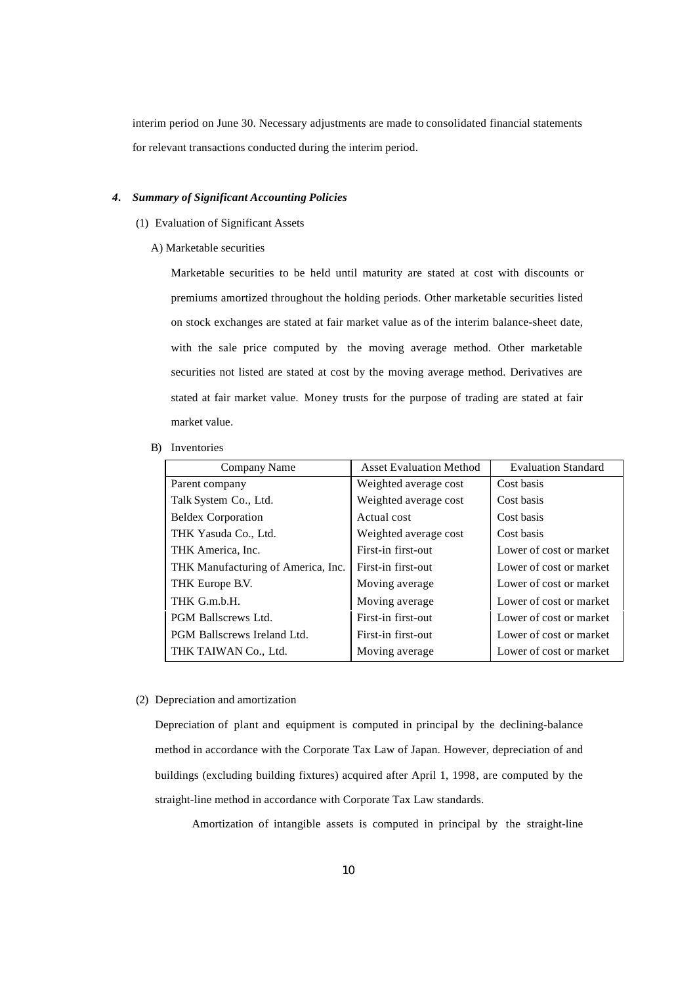interim period on June 30. Necessary adjustments are made to consolidated financial statements for relevant transactions conducted during the interim period.

#### *4. Summary of Significant Accounting Policies*

- (1) Evaluation of Significant Assets
	- A) Marketable securities

Marketable securities to be held until maturity are stated at cost with discounts or premiums amortized throughout the holding periods. Other marketable securities listed on stock exchanges are stated at fair market value as of the interim balance-sheet date, with the sale price computed by the moving average method. Other marketable securities not listed are stated at cost by the moving average method. Derivatives are stated at fair market value. Money trusts for the purpose of trading are stated at fair market value.

B) Inventories

| Company Name                       | <b>Asset Evaluation Method</b> | <b>Evaluation Standard</b> |
|------------------------------------|--------------------------------|----------------------------|
| Parent company                     | Weighted average cost          | Cost basis                 |
| Talk System Co., Ltd.              | Weighted average cost          | Cost basis                 |
| <b>Beldex Corporation</b>          | Actual cost                    | Cost basis                 |
| THK Yasuda Co., Ltd.               | Weighted average cost          | Cost basis                 |
| THK America, Inc.                  | First-in first-out             | Lower of cost or market    |
| THK Manufacturing of America, Inc. | First-in first-out             | Lower of cost or market    |
| THK Europe B.V.                    | Moving average                 | Lower of cost or market    |
| THK G.m.b.H.                       | Moving average                 | Lower of cost or market    |
| <b>PGM Ballscrews Ltd.</b>         | First-in first-out             | Lower of cost or market    |
| <b>PGM Ballscrews Ireland Ltd.</b> | First-in first-out             | Lower of cost or market    |
| THK TAIWAN Co., Ltd.               | Moving average                 | Lower of cost or market    |

#### (2) Depreciation and amortization

Depreciation of plant and equipment is computed in principal by the declining-balance method in accordance with the Corporate Tax Law of Japan. However, depreciation of and buildings (excluding building fixtures) acquired after April 1, 1998, are computed by the straight-line method in accordance with Corporate Tax Law standards.

Amortization of intangible assets is computed in principal by the straight-line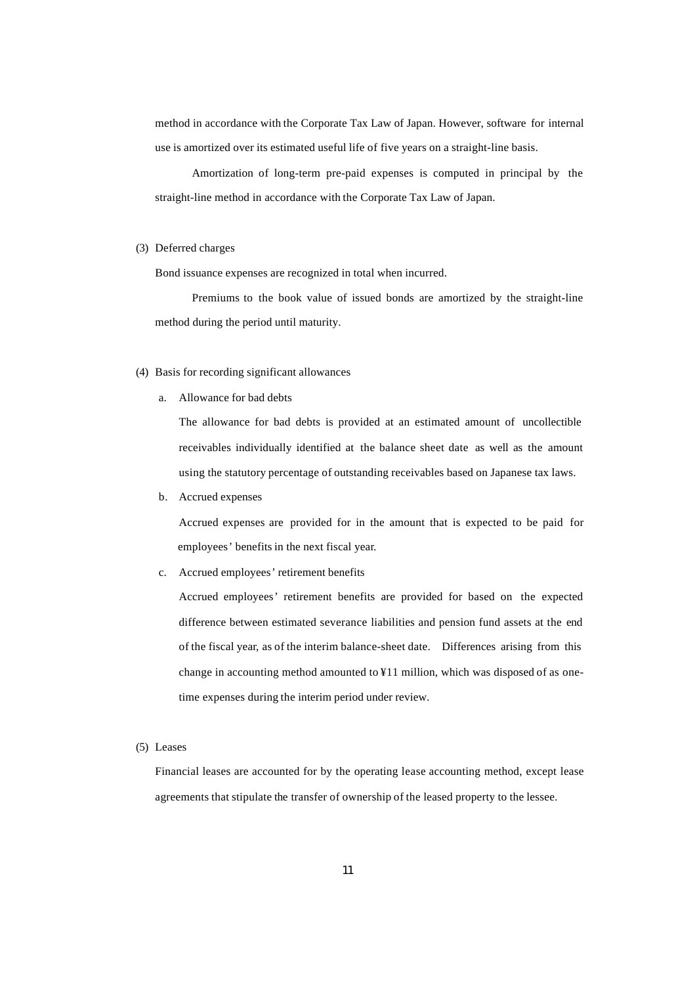method in accordance with the Corporate Tax Law of Japan. However, software for internal use is amortized over its estimated useful life of five years on a straight-line basis.

Amortization of long-term pre-paid expenses is computed in principal by the straight-line method in accordance with the Corporate Tax Law of Japan.

#### (3) Deferred charges

Bond issuance expenses are recognized in total when incurred.

Premiums to the book value of issued bonds are amortized by the straight-line method during the period until maturity.

#### (4) Basis for recording significant allowances

a. Allowance for bad debts

The allowance for bad debts is provided at an estimated amount of uncollectible receivables individually identified at the balance sheet date as well as the amount using the statutory percentage of outstanding receivables based on Japanese tax laws.

b. Accrued expenses

Accrued expenses are provided for in the amount that is expected to be paid for employees' benefits in the next fiscal year.

c. Accrued employees' retirement benefits

Accrued employees' retirement benefits are provided for based on the expected difference between estimated severance liabilities and pension fund assets at the end of the fiscal year, as of the interim balance-sheet date. Differences arising from this change in accounting method amounted to ¥11 million, which was disposed of as onetime expenses during the interim period under review.

(5) Leases

Financial leases are accounted for by the operating lease accounting method, except lease agreements that stipulate the transfer of ownership of the leased property to the lessee.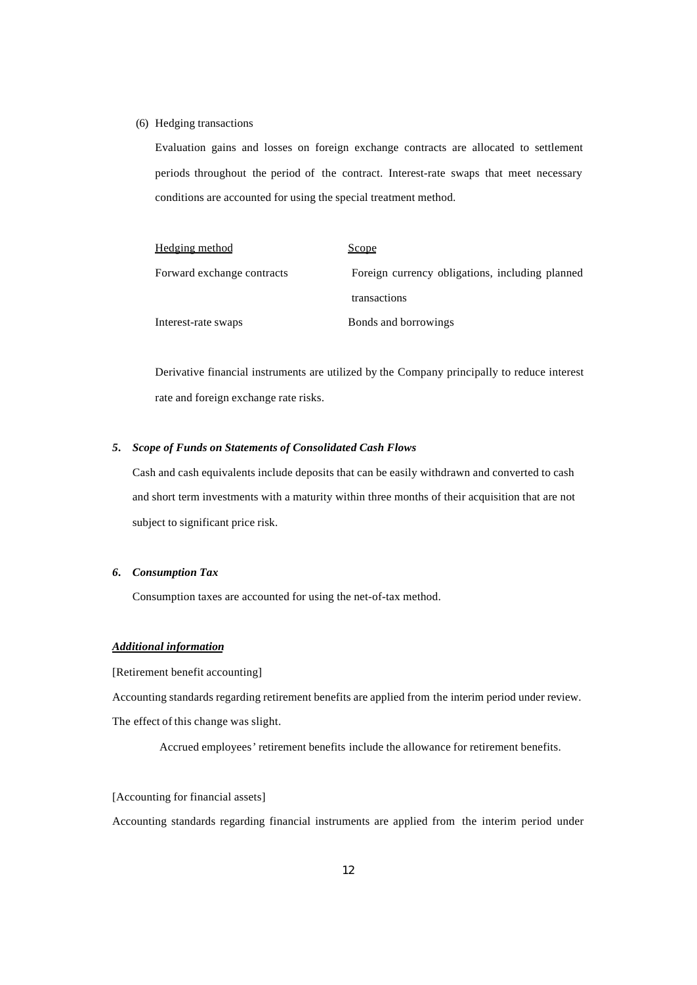#### (6) Hedging transactions

Evaluation gains and losses on foreign exchange contracts are allocated to settlement periods throughout the period of the contract. Interest-rate swaps that meet necessary conditions are accounted for using the special treatment method.

| <b>Hedging method</b>      | <u>Scope</u>                                    |
|----------------------------|-------------------------------------------------|
| Forward exchange contracts | Foreign currency obligations, including planned |
|                            | transactions                                    |
| Interest-rate swaps        | Bonds and borrowings                            |

Derivative financial instruments are utilized by the Company principally to reduce interest rate and foreign exchange rate risks.

#### *5. Scope of Funds on Statements of Consolidated Cash Flows*

Cash and cash equivalents include deposits that can be easily withdrawn and converted to cash and short term investments with a maturity within three months of their acquisition that are not subject to significant price risk.

#### *6. Consumption Tax*

Consumption taxes are accounted for using the net-of-tax method.

### *Additional information*

[Retirement benefit accounting]

Accounting standards regarding retirement benefits are applied from the interim period under review. The effect of this change was slight.

Accrued employees' retirement benefits include the allowance for retirement benefits.

#### [Accounting for financial assets]

Accounting standards regarding financial instruments are applied from the interim period under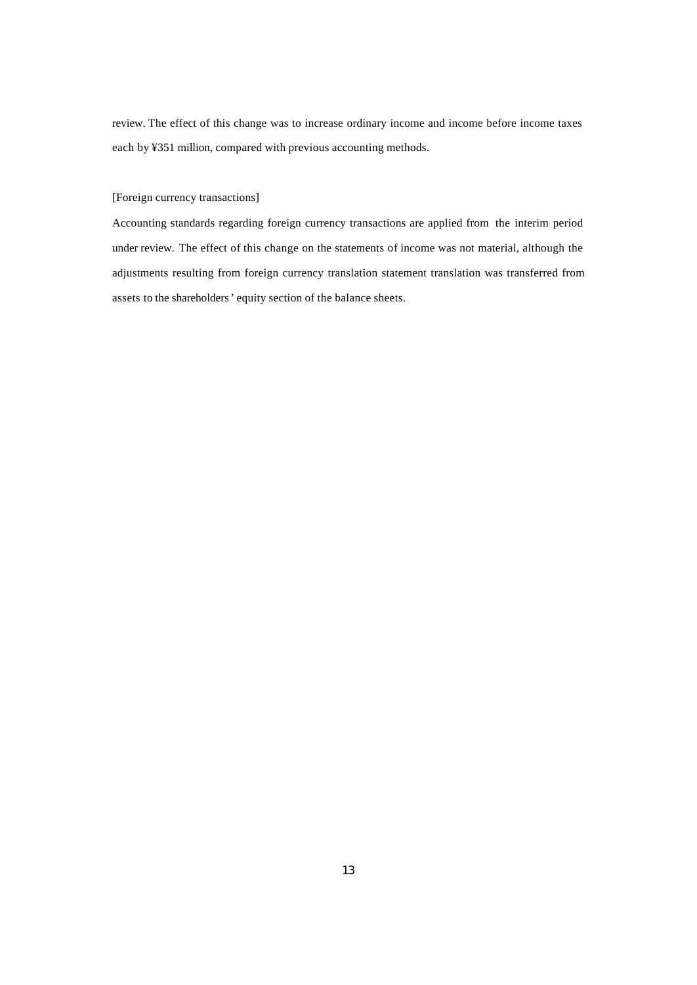review. The effect of this change was to increase ordinary income and income before income taxes each by ¥351 million, compared with previous accounting methods.

## [Foreign currency transactions]

Accounting standards regarding foreign currency transactions are applied from the interim period under review. The effect of this change on the statements of income was not material, although the adjustments resulting from foreign currency translation statement translation was transferred from assets to the shareholders' equity section of the balance sheets.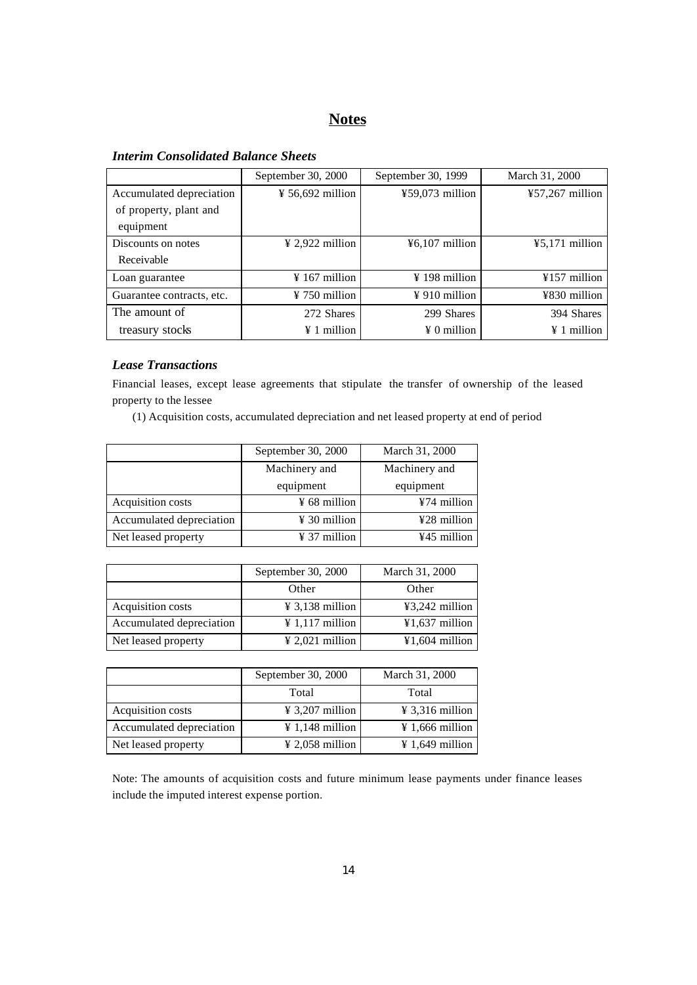# **Notes**

# *Interim Consolidated Balance Sheets*

|                           | September 30, 2000           | September 30, 1999        | March 31, 2000     |
|---------------------------|------------------------------|---------------------------|--------------------|
| Accumulated depreciation  | $\frac{1}{2}$ 56,692 million | ¥59,073 million           | $457,267$ million  |
| of property, plant and    |                              |                           |                    |
| equipment                 |                              |                           |                    |
| Discounts on notes        | $\frac{1}{2}$ 2,922 million  | $46,107$ million          | $45,171$ million   |
| Receivable                |                              |                           |                    |
| Loan guarantee            | $\frac{1}{2}$ 167 million    | $\frac{1}{2}$ 198 million | ¥157 million       |
| Guarantee contracts, etc. | $\frac{1}{2}$ 750 million    | $\frac{1}{2}$ 910 million | ¥830 million       |
| The amount of             | 272 Shares                   | 299 Shares                | 394 Shares         |
| treasury stocks           | $\angle 1$ million           | $\angle 0$ million        | $\angle 1$ million |

## *Lease Transactions*

Financial leases, except lease agreements that stipulate the transfer of ownership of the leased property to the lessee

(1) Acquisition costs, accumulated depreciation and net leased property at end of period

|                          | September 30, 2000       | March 31, 2000 |  |  |
|--------------------------|--------------------------|----------------|--|--|
|                          | Machinery and            | Machinery and  |  |  |
|                          | equipment<br>equipment   |                |  |  |
| Acquisition costs        | $\frac{1}{2}$ 68 million | ¥74 million    |  |  |
| Accumulated depreciation | $\frac{1}{2}$ 30 million | ¥28 million    |  |  |
| Net leased property      | $\frac{1}{2}$ 37 million | ¥45 million    |  |  |

|                          | September 30, 2000          | March 31, 2000   |
|--------------------------|-----------------------------|------------------|
|                          | Other                       | Other            |
| Acquisition costs        | $\frac{1}{2}$ 3,138 million | ¥3,242 million   |
| Accumulated depreciation | $\frac{1}{2}$ 1,117 million | $¥1,637$ million |
| Net leased property      | $\frac{1}{2}$ 2.021 million | $¥1,604$ million |

|                          | September 30, 2000          | March 31, 2000              |
|--------------------------|-----------------------------|-----------------------------|
|                          | Total                       | Total                       |
| Acquisition costs        | $\frac{1}{2}$ 3,207 million | $\frac{1}{2}$ 3,316 million |
| Accumulated depreciation | $\frac{1}{2}$ 1,148 million | $\frac{1}{2}$ 1,666 million |
| Net leased property      | $\frac{1}{2}$ ,058 million  | ¥ 1,649 million             |

Note: The amounts of acquisition costs and future minimum lease payments under finance leases include the imputed interest expense portion.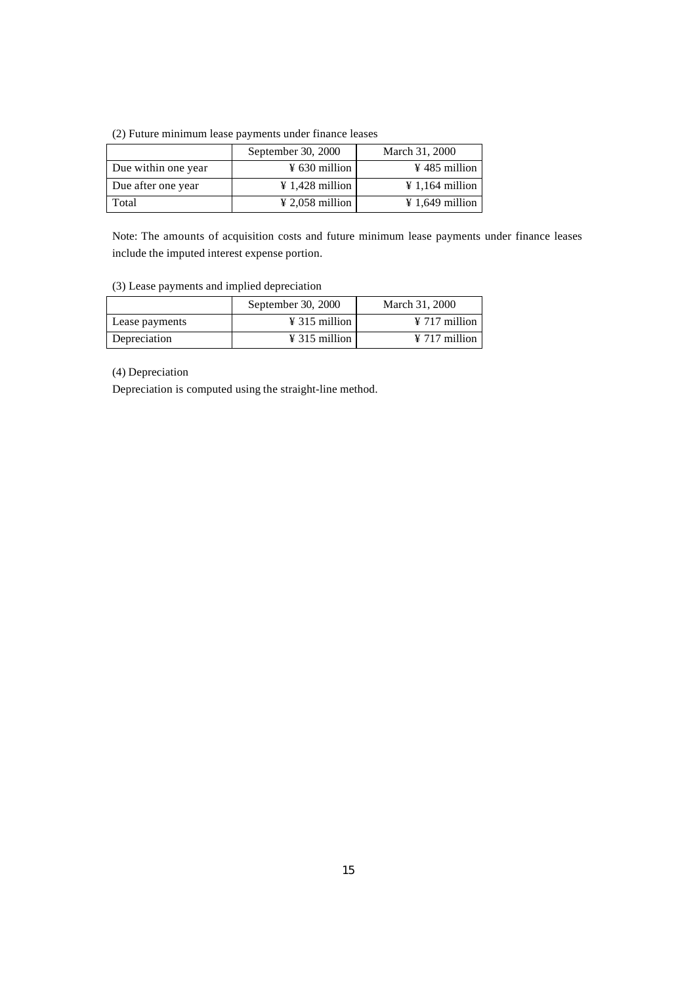(2) Future minimum lease payments under finance leases

|                     | September 30, 2000          | March 31, 2000              |
|---------------------|-----------------------------|-----------------------------|
| Due within one year | $\frac{1}{2}$ 630 million   | $\frac{1}{2}$ 485 million   |
| Due after one year  | $\frac{1}{2}$ 1,428 million | $\frac{1}{2}$ 1,164 million |
| Total               | $\frac{1}{2}$ 2,058 million | $\frac{1}{2}$ 1,649 million |

Note: The amounts of acquisition costs and future minimum lease payments under finance leases include the imputed interest expense portion.

(3) Lease payments and implied depreciation

|                | September 30, 2000        | March 31, 2000            |
|----------------|---------------------------|---------------------------|
| Lease payments | $\frac{1}{2}$ 315 million | $\frac{1}{2}$ 717 million |
| Depreciation   | $\frac{1}{2}$ 315 million | $\frac{1}{2}$ 717 million |

(4) Depreciation

Depreciation is computed using the straight-line method.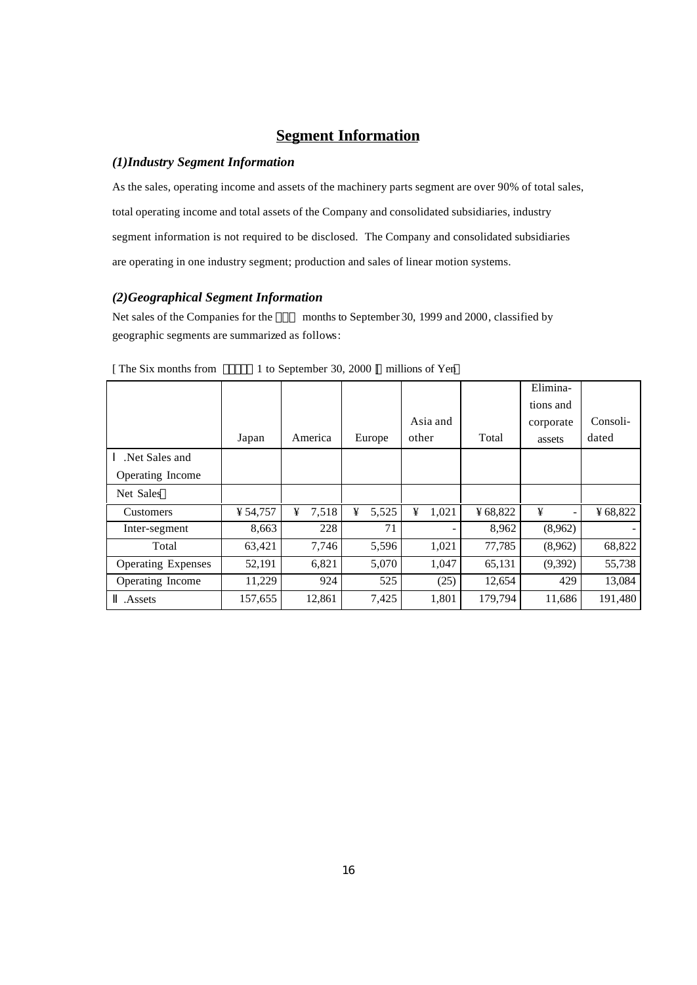# **Segment Information**

## *(1)Industry Segment Information*

As the sales, operating income and assets of the machinery parts segment are over 90% of total sales, total operating income and total assets of the Company and consolidated subsidiaries, industry segment information is not required to be disclosed. The Company and consolidated subsidiaries are operating in one industry segment; production and sales of linear motion systems.

## *(2)Geographical Segment Information*

Net sales of the Companies for the months to September 30, 1999 and 2000, classified by geographic segments are summarized as follows:

|                           |          |            |            |            |         | Elimina-  |          |
|---------------------------|----------|------------|------------|------------|---------|-----------|----------|
|                           |          |            |            |            |         | tions and |          |
|                           |          |            |            | Asia and   |         | corporate | Consoli- |
|                           | Japan    | America    | Europe     | other      | Total   | assets    | dated    |
| Net Sales and             |          |            |            |            |         |           |          |
| Operating Income          |          |            |            |            |         |           |          |
| Net Sales                 |          |            |            |            |         |           |          |
| <b>Customers</b>          | ¥ 54,757 | ¥<br>7,518 | ¥<br>5,525 | ¥<br>1,021 | ¥68,822 | ¥         | ¥68,822  |
| Inter-segment             | 8,663    | 228        | 71         |            | 8,962   | (8,962)   |          |
| Total                     | 63,421   | 7,746      | 5,596      | 1,021      | 77,785  | (8,962)   | 68,822   |
| <b>Operating Expenses</b> | 52,191   | 6,821      | 5,070      | 1,047      | 65,131  | (9,392)   | 55,738   |
| Operating Income          | 11,229   | 924        | 525        | (25)       | 12,654  | 429       | 13,084   |
| Assets.                   | 157,655  | 12,861     | 7,425      | 1,801      | 179,794 | 11,686    | 191,480  |

[ The Six months from 1 to September 30, 2000 ] millions of Yen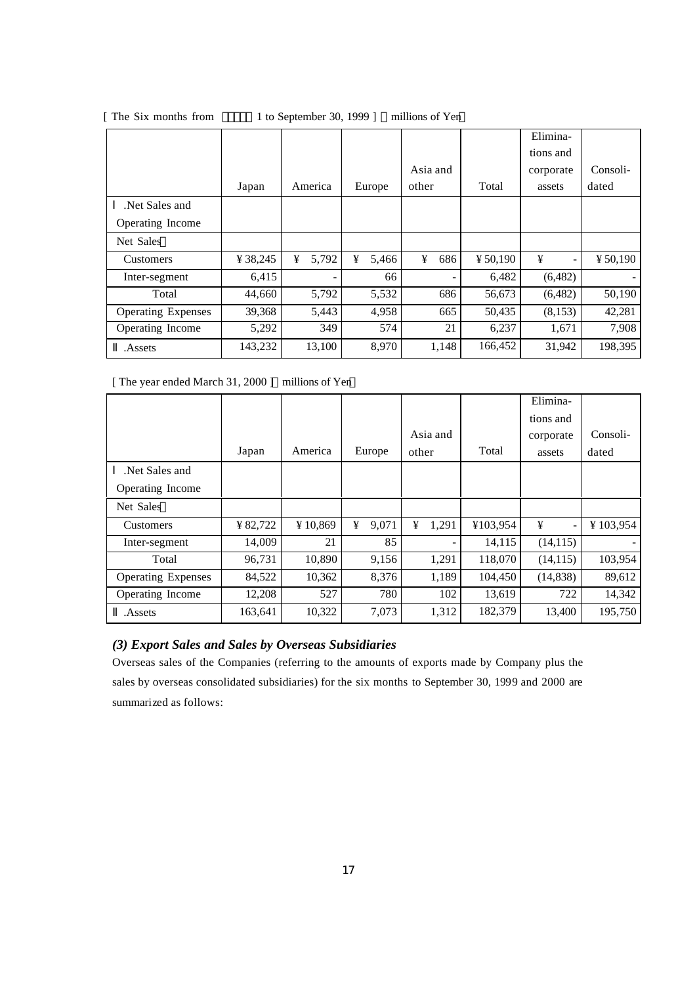|                           |          |            |            |          |          | Elimina-  |          |
|---------------------------|----------|------------|------------|----------|----------|-----------|----------|
|                           |          |            |            |          |          | tions and |          |
|                           |          |            |            | Asia and |          | corporate | Consoli- |
|                           | Japan    | America    | Europe     | other    | Total    | assets    | dated    |
| Net Sales and             |          |            |            |          |          |           |          |
| Operating Income          |          |            |            |          |          |           |          |
| Net Sales                 |          |            |            |          |          |           |          |
| <b>Customers</b>          | ¥ 38,245 | 5,792<br>¥ | ¥<br>5,466 | ¥<br>686 | ¥ 50,190 | ¥         | ¥ 50.190 |
| Inter-segment             | 6,415    |            | 66         |          | 6,482    | (6,482)   |          |
| Total                     | 44,660   | 5,792      | 5,532      | 686      | 56,673   | (6,482)   | 50,190   |
| <b>Operating Expenses</b> | 39,368   | 5,443      | 4,958      | 665      | 50,435   | (8, 153)  | 42,281   |
| Operating Income          | 5,292    | 349        | 574        | 21       | 6,237    | 1,671     | 7.908    |
| Assets.                   | 143,232  | 13,100     | 8,970      | 1,148    | 166,452  | 31,942    | 198,395  |

[ The Six months from 1 to September 30, 1999 ] millions of Yen

[ The year ended March 31, 2000 ] millions of Yen

|                           |         |         |            |            |          | Elimina-  |          |
|---------------------------|---------|---------|------------|------------|----------|-----------|----------|
|                           |         |         |            |            |          | tions and |          |
|                           |         |         |            | Asia and   |          | corporate | Consoli- |
|                           | Japan   | America | Europe     | other      | Total    | assets    | dated    |
| Net Sales and             |         |         |            |            |          |           |          |
| Operating Income          |         |         |            |            |          |           |          |
| Net Sales                 |         |         |            |            |          |           |          |
| <b>Customers</b>          | ¥82,722 | ¥10,869 | ¥<br>9.071 | ¥<br>1,291 | ¥103,954 | ¥         | ¥103,954 |
| Inter-segment             | 14,009  | 21      | 85         |            | 14,115   | (14, 115) |          |
| Total                     | 96,731  | 10.890  | 9,156      | 1,291      | 118,070  | (14, 115) | 103,954  |
| <b>Operating Expenses</b> | 84,522  | 10,362  | 8,376      | 1,189      | 104,450  | (14, 838) | 89,612   |
| Operating Income          | 12,208  | 527     | 780        | 102        | 13,619   | 722       | 14,342   |
| .Assets                   | 163,641 | 10,322  | 7,073      | 1,312      | 182,379  | 13,400    | 195,750  |

## *(3) Export Sales and Sales by Overseas Subsidiaries*

Overseas sales of the Companies (referring to the amounts of exports made by Company plus the sales by overseas consolidated subsidiaries) for the six months to September 30, 1999 and 2000 are summarized as follows: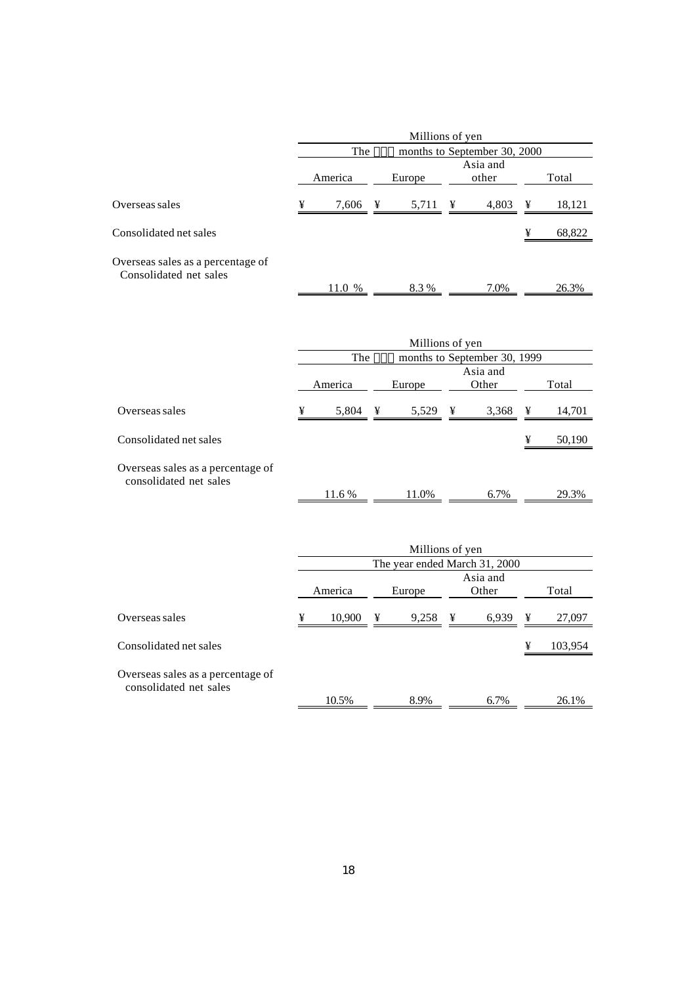|                                                             | Millions of yen |        |        |                 |                   |                              |                              |        |  |
|-------------------------------------------------------------|-----------------|--------|--------|-----------------|-------------------|------------------------------|------------------------------|--------|--|
|                                                             |                 | The    |        |                 |                   |                              | months to September 30, 2000 |        |  |
|                                                             | America         |        | Europe |                 | Asia and<br>other |                              |                              | Total  |  |
| Overseas sales                                              | ¥               | 7,606  | ¥      | 5,711           | ¥                 | 4,803                        | ¥                            | 18,121 |  |
| Consolidated net sales                                      |                 |        |        |                 |                   |                              | ¥                            | 68,822 |  |
| Overseas sales as a percentage of<br>Consolidated net sales |                 | 11.0 % |        | 8.3%            |                   | 7.0%                         |                              | 26.3%  |  |
|                                                             |                 |        |        | Millions of yen |                   |                              |                              |        |  |
|                                                             |                 | The    |        |                 |                   | months to September 30, 1999 |                              |        |  |

|                                                             | America |                     | Europe |       |   | Asia and<br>Other | Total |        |
|-------------------------------------------------------------|---------|---------------------|--------|-------|---|-------------------|-------|--------|
| Overseas sales                                              | ¥       | 5,804 $\frac{1}{2}$ |        | 5,529 | ¥ | 3,368             | ¥     | 14,701 |
| Consolidated net sales                                      |         |                     |        |       |   |                   | ¥     | 50,190 |
| Overseas sales as a percentage of<br>consolidated net sales |         |                     |        |       |   |                   |       |        |
|                                                             |         | 11.6 %              |        | 11.0% |   | 6.7%              |       | 29.3%  |

|                                                             | Millions of yen               |        |        |                     |  |                   |       |         |  |
|-------------------------------------------------------------|-------------------------------|--------|--------|---------------------|--|-------------------|-------|---------|--|
|                                                             | The year ended March 31, 2000 |        |        |                     |  |                   |       |         |  |
|                                                             | America                       |        |        |                     |  | Asia and<br>Other |       |         |  |
|                                                             |                               |        | Europe |                     |  |                   | Total |         |  |
| Overseas sales                                              | ¥                             | 10,900 | ¥      | 9,258 $\frac{1}{2}$ |  | 6,939             | ¥     | 27,097  |  |
| Consolidated net sales                                      |                               |        |        |                     |  |                   | ¥     | 103,954 |  |
| Overseas sales as a percentage of<br>consolidated net sales |                               |        |        |                     |  |                   |       |         |  |
|                                                             |                               | 10.5%  |        | 8.9%                |  | 6.7%              |       | 26.1%   |  |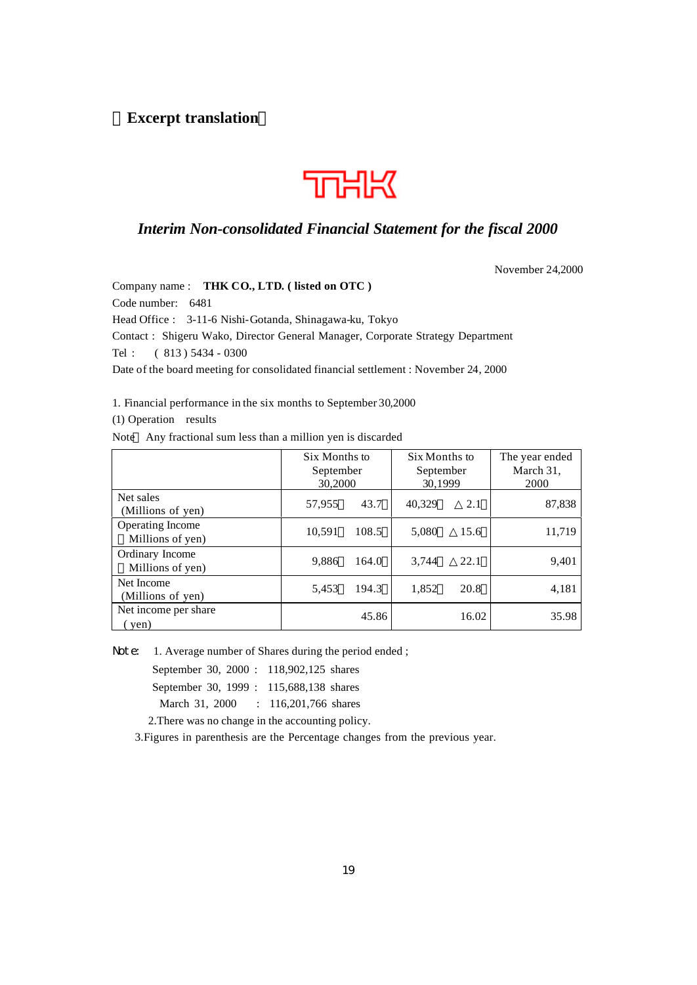# **Excerpt translation**



# *Interim Non-consolidated Financial Statement for the fiscal 2000*

November 24,2000

Company name : **THK CO., LTD. ( listed on OTC )** Code number: 6481 Head Office : 3-11-6 Nishi-Gotanda, Shinagawa-ku, Tokyo Contact : Shigeru Wako, Director General Manager, Corporate Strategy Department Tel : ( 813 ) 5434 - 0300 Date of the board meeting for consolidated financial settlement : November 24, 2000

1. Financial performance in the six months to September 30,2000

(1) Operation results

Note Any fractional sum less than a million yen is discarded

|                                      | Six Months to<br>September<br>30,2000 |       | Six Months to<br>September<br>30,1999 |       | The year ended<br>March 31,<br>2000 |
|--------------------------------------|---------------------------------------|-------|---------------------------------------|-------|-------------------------------------|
| Net sales<br>(Millions of yen)       | 57,955                                | 43.7  | 40.329                                | 2.1   | 87,838                              |
| Operating Income<br>Millions of yen) | 10,591                                | 108.5 | 5,080                                 | 15.6  | 11,719                              |
| Ordinary Income<br>Millions of yen)  | 9,886                                 | 164.0 | 3.744                                 | 22.1  | 9,401                               |
| Net Income<br>(Millions of yen)      | 5,453                                 | 194.3 | 1,852                                 | 20.8  | 4,181                               |
| Net income per share<br>yen)         |                                       | 45.86 |                                       | 16.02 | 35.98                               |

Note: 1. Average number of Shares during the period ended;

September 30, 2000 : 118,902,125 shares

September 30, 1999 : 115,688,138 shares

March 31, 2000 : 116,201,766 shares

2.There was no change in the accounting policy.

3.Figures in parenthesis are the Percentage changes from the previous year.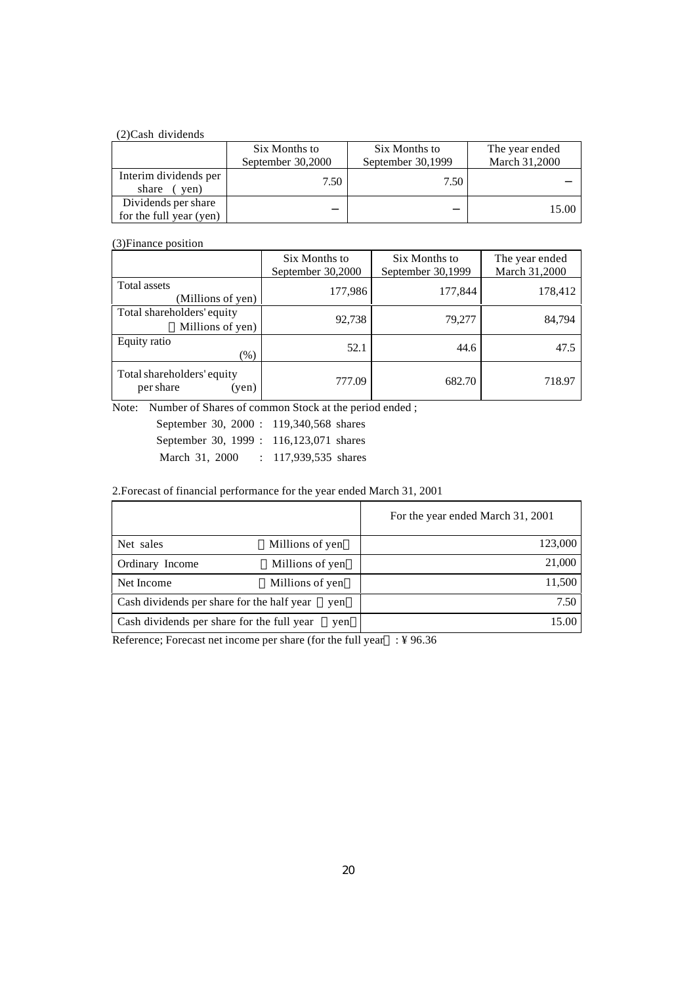#### (2)Cash dividends

|                                                | Six Months to<br>September 30,2000 | Six Months to<br>September 30,1999 | The year ended<br>March 31,2000 |
|------------------------------------------------|------------------------------------|------------------------------------|---------------------------------|
| Interim dividends per<br>share<br>yen)         | 7.50                               | 7.50                               |                                 |
| Dividends per share<br>for the full year (yen) |                                    |                                    | 15.00                           |

## (3)Finance position

|                                                  | Six Months to<br>September 30,2000 | Six Months to<br>September 30,1999 | The year ended<br>March 31,2000 |
|--------------------------------------------------|------------------------------------|------------------------------------|---------------------------------|
| Total assets<br>(Millions of yen)                | 177,986                            | 177,844                            | 178,412                         |
| Total shareholders' equity<br>Millions of yen)   | 92,738                             | 79,277                             | 84,794                          |
| Equity ratio<br>$(\% )$                          | 52.1                               | 44.6                               | 47.5                            |
| Total shareholders' equity<br>per share<br>(yen) | 777.09                             | 682.70                             | 718.97                          |

Note: Number of Shares of common Stock at the period ended ;

| September 30, 2000 : 119,340,568 shares   |                        |  |
|-------------------------------------------|------------------------|--|
| September 30, 1999 : 116, 123, 071 shares |                        |  |
| March 31, 2000                            | $: 117,939,535$ shares |  |

## 2.Forecast of financial performance for the year ended March 31, 2001

|                                            |                 | For the year ended March 31, 2001 |
|--------------------------------------------|-----------------|-----------------------------------|
| Net sales                                  | Millions of yen | 123,000                           |
| Ordinary Income                            | Millions of yen | 21,000                            |
| Net Income                                 | Millions of yen | 11,500                            |
| Cash dividends per share for the half year | yen             | 7.50                              |
| Cash dividends per share for the full year | yen             | 15.00                             |

Reference; Forecast net income per share (for the full year : ¥ 96.36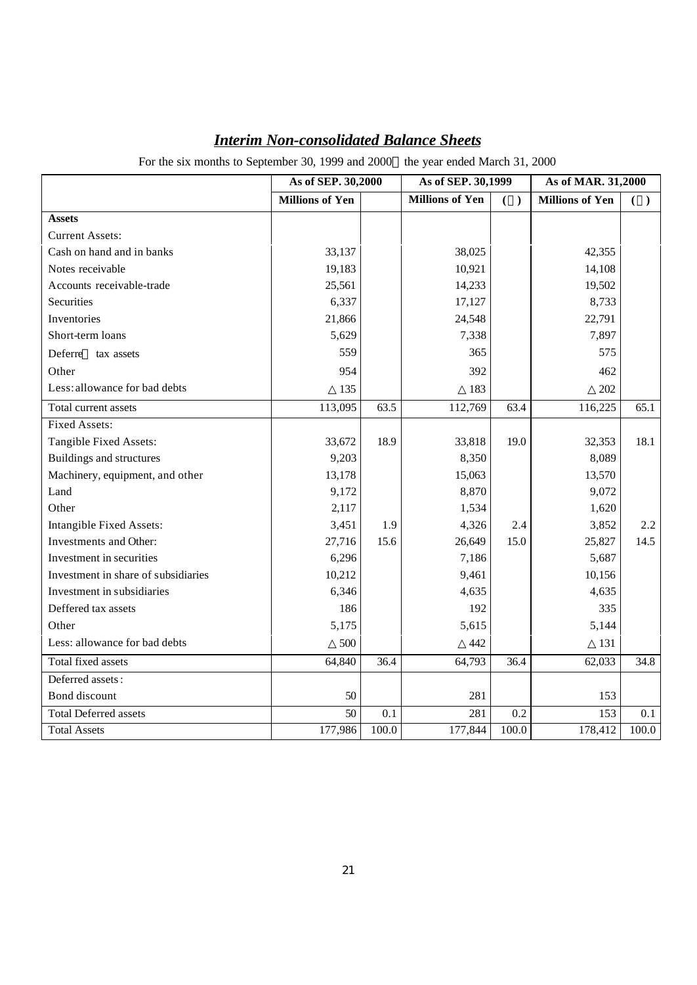|                                     | As of SEP. 30,2000     |       | As of SEP. 30,1999     |       | As of MAR. 31,2000     |       |
|-------------------------------------|------------------------|-------|------------------------|-------|------------------------|-------|
|                                     | <b>Millions of Yen</b> |       | <b>Millions of Yen</b> | ( )   | <b>Millions of Yen</b> | $($ ) |
| <b>Assets</b>                       |                        |       |                        |       |                        |       |
| <b>Current Assets:</b>              |                        |       |                        |       |                        |       |
| Cash on hand and in banks           | 33,137                 |       | 38,025                 |       | 42,355                 |       |
| Notes receivable                    | 19,183                 |       | 10,921                 |       | 14,108                 |       |
| Accounts receivable-trade           | 25,561                 |       | 14,233                 |       | 19,502                 |       |
| Securities                          | 6,337                  |       | 17,127                 |       | 8,733                  |       |
| Inventories                         | 21,866                 |       | 24,548                 |       | 22,791                 |       |
| Short-term loans                    | 5,629                  |       | 7,338                  |       | 7,897                  |       |
| Deferre<br>tax assets               | 559                    |       | 365                    |       | 575                    |       |
| Other                               | 954                    |       | 392                    |       | 462                    |       |
| Less: allowance for bad debts       | 135                    |       | 183                    |       | 202                    |       |
| Total current assets                | 113,095                | 63.5  | 112,769                | 63.4  | 116,225                | 65.1  |
| <b>Fixed Assets:</b>                |                        |       |                        |       |                        |       |
| Tangible Fixed Assets:              | 33,672                 | 18.9  | 33,818                 | 19.0  | 32,353                 | 18.1  |
| Buildings and structures            | 9,203                  |       | 8,350                  |       | 8,089                  |       |
| Machinery, equipment, and other     | 13,178                 |       | 15,063                 |       | 13,570                 |       |
| Land                                | 9,172                  |       | 8,870                  |       | 9,072                  |       |
| Other                               | 2,117                  |       | 1,534                  |       | 1,620                  |       |
| Intangible Fixed Assets:            | 3,451                  | 1.9   | 4,326                  | 2.4   | 3,852                  | 2.2   |
| Investments and Other:              | 27,716                 | 15.6  | 26,649                 | 15.0  | 25,827                 | 14.5  |
| Investment in securities            | 6,296                  |       | 7,186                  |       | 5,687                  |       |
| Investment in share of subsidiaries | 10,212                 |       | 9,461                  |       | 10,156                 |       |
| Investment in subsidiaries          | 6,346                  |       | 4,635                  |       | 4,635                  |       |
| Deffered tax assets                 | 186                    |       | 192                    |       | 335                    |       |
| Other                               | 5,175                  |       | 5,615                  |       | 5,144                  |       |
| Less: allowance for bad debts       | 500                    |       | 442                    |       | 131                    |       |
| Total fixed assets                  | 64,840                 | 36.4  | 64,793                 | 36.4  | 62,033                 | 34.8  |
| Deferred assets:                    |                        |       |                        |       |                        |       |
| Bond discount                       | 50                     |       | 281                    |       | 153                    |       |
| <b>Total Deferred assets</b>        | 50                     | 0.1   | 281                    | 0.2   | 153                    | 0.1   |
| <b>Total Assets</b>                 | 177,986                | 100.0 | 177,844                | 100.0 | 178,412                | 100.0 |

# *Interim Non-consolidated Balance Sheets*

For the six months to September 30, 1999 and 2000 the year ended March 31, 2000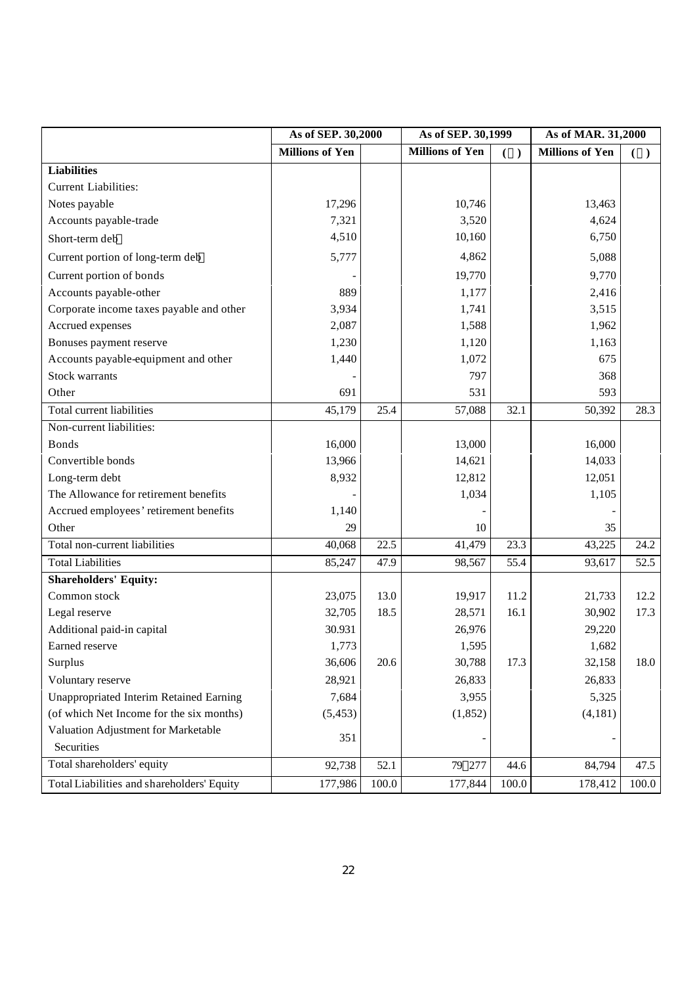|                                                | As of SEP. 30,2000     |       | As of SEP. 30,1999     |       | As of MAR. 31,2000     |       |
|------------------------------------------------|------------------------|-------|------------------------|-------|------------------------|-------|
|                                                | <b>Millions of Yen</b> |       | <b>Millions of Yen</b> | ( )   | <b>Millions of Yen</b> | ( )   |
| <b>Liabilities</b>                             |                        |       |                        |       |                        |       |
| <b>Current Liabilities:</b>                    |                        |       |                        |       |                        |       |
| Notes payable                                  | 17,296                 |       | 10,746                 |       | 13,463                 |       |
| Accounts payable-trade                         | 7,321                  |       | 3,520                  |       | 4,624                  |       |
| Short-term deb                                 | 4,510                  |       | 10,160                 |       | 6,750                  |       |
| Current portion of long-term deb               | 5,777                  |       | 4,862                  |       | 5,088                  |       |
| Current portion of bonds                       |                        |       | 19,770                 |       | 9,770                  |       |
| Accounts payable-other                         | 889                    |       | 1,177                  |       | 2,416                  |       |
| Corporate income taxes payable and other       | 3,934                  |       | 1,741                  |       | 3,515                  |       |
| Accrued expenses                               | 2,087                  |       | 1,588                  |       | 1,962                  |       |
| Bonuses payment reserve                        | 1,230                  |       | 1,120                  |       | 1,163                  |       |
| Accounts payable-equipment and other           | 1,440                  |       | 1,072                  |       | 675                    |       |
| <b>Stock warrants</b>                          |                        |       | 797                    |       | 368                    |       |
| Other                                          | 691                    |       | 531                    |       | 593                    |       |
| Total current liabilities                      | 45,179                 | 25.4  | 57,088                 | 32.1  | 50,392                 | 28.3  |
| Non-current liabilities:                       |                        |       |                        |       |                        |       |
| <b>Bonds</b>                                   | 16,000                 |       | 13,000                 |       | 16,000                 |       |
| Convertible bonds                              | 13,966                 |       | 14,621                 |       | 14,033                 |       |
| Long-term debt                                 | 8,932                  |       | 12,812                 |       | 12,051                 |       |
| The Allowance for retirement benefits          |                        |       | 1,034                  |       | 1,105                  |       |
| Accrued employees' retirement benefits         | 1,140                  |       |                        |       |                        |       |
| Other                                          | 29                     |       | 10                     |       | 35                     |       |
| Total non-current liabilities                  | 40,068                 | 22.5  | 41,479                 | 23.3  | 43,225                 | 24.2  |
| <b>Total Liabilities</b>                       | 85,247                 | 47.9  | 98,567                 | 55.4  | 93,617                 | 52.5  |
| <b>Shareholders' Equity:</b>                   |                        |       |                        |       |                        |       |
| Common stock                                   | 23,075                 | 13.0  | 19,917                 | 11.2  | 21,733                 | 12.2  |
| Legal reserve                                  | 32,705                 | 18.5  | 28,571                 | 16.1  | 30,902                 | 17.3  |
| Additional paid-in capital                     | 30.931                 |       | 26,976                 |       | 29,220                 |       |
| Earned reserve                                 | 1,773                  |       | 1,595                  |       | 1,682                  |       |
| Surplus                                        | 36,606                 | 20.6  | 30,788                 | 17.3  | 32,158                 | 18.0  |
| Voluntary reserve                              | 28,921                 |       | 26,833                 |       | 26,833                 |       |
| <b>Unappropriated Interim Retained Earning</b> | 7,684                  |       | 3,955                  |       | 5,325                  |       |
| (of which Net Income for the six months)       | (5, 453)               |       | (1, 852)               |       | (4, 181)               |       |
| Valuation Adjustment for Marketable            | 351                    |       |                        |       |                        |       |
| Securities                                     |                        |       | -                      |       |                        |       |
| Total shareholders' equity                     | 92,738                 | 52.1  | 79 277                 | 44.6  | 84,794                 | 47.5  |
| Total Liabilities and shareholders' Equity     | 177,986                | 100.0 | 177,844                | 100.0 | 178,412                | 100.0 |